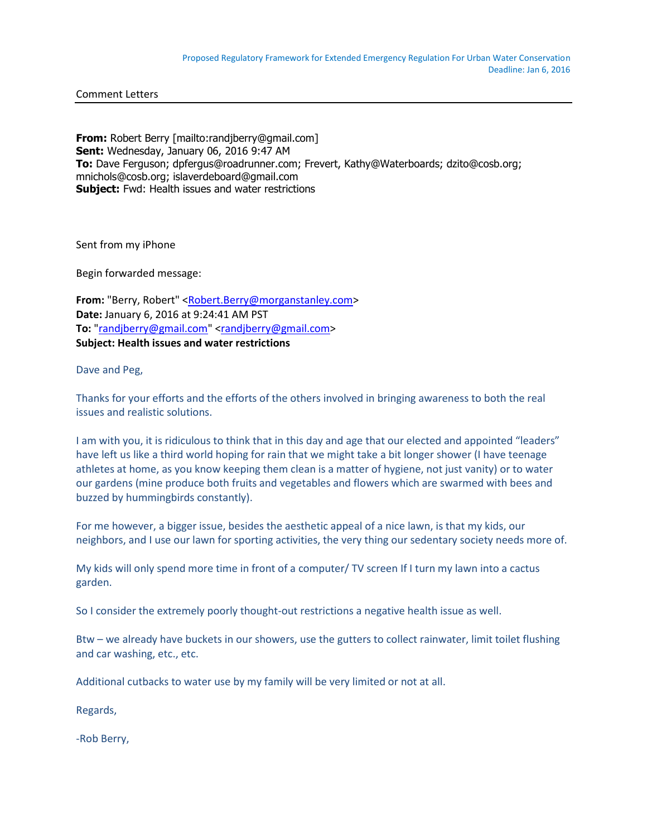Comment Letters

**From:** Robert Berry [mailto:randjberry@gmail.com] **Sent:** Wednesday, January 06, 2016 9:47 AM **To:** Dave Ferguson; dpfergus@roadrunner.com; Frevert, Kathy@Waterboards; dzito@cosb.org; mnichols@cosb.org; islaverdeboard@gmail.com **Subject:** Fwd: Health issues and water restrictions

Sent from my iPhone

Begin forwarded message:

**From:** "Berry, Robert" [<Robert.Berry@morganstanley.com>](mailto:Robert.Berry@morganstanley.com) **Date:** January 6, 2016 at 9:24:41 AM PST **To:** ["randjberry@gmail.com"](mailto:randjberry@gmail.com) [<randjberry@gmail.com>](mailto:randjberry@gmail.com) **Subject: Health issues and water restrictions**

Dave and Peg,

Thanks for your efforts and the efforts of the others involved in bringing awareness to both the real issues and realistic solutions.

I am with you, it is ridiculous to think that in this day and age that our elected and appointed "leaders" have left us like a third world hoping for rain that we might take a bit longer shower (I have teenage athletes at home, as you know keeping them clean is a matter of hygiene, not just vanity) or to water our gardens (mine produce both fruits and vegetables and flowers which are swarmed with bees and buzzed by hummingbirds constantly).

For me however, a bigger issue, besides the aesthetic appeal of a nice lawn, is that my kids, our neighbors, and I use our lawn for sporting activities, the very thing our sedentary society needs more of.

My kids will only spend more time in front of a computer/ TV screen If I turn my lawn into a cactus garden.

So I consider the extremely poorly thought-out restrictions a negative health issue as well.

Btw – we already have buckets in our showers, use the gutters to collect rainwater, limit toilet flushing and car washing, etc., etc.

Additional cutbacks to water use by my family will be very limited or not at all.

Regards,

-Rob Berry,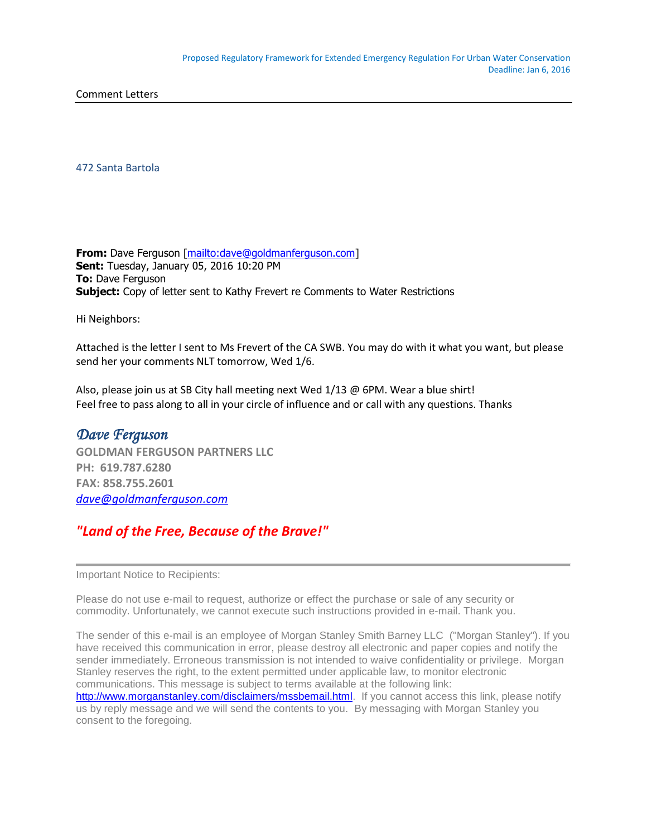Comment Letters

472 Santa Bartola

**From:** Dave Ferguson [\[mailto:dave@goldmanferguson.com\]](mailto:dave@goldmanferguson.com) **Sent:** Tuesday, January 05, 2016 10:20 PM **To:** Dave Ferguson **Subject:** Copy of letter sent to Kathy Frevert re Comments to Water Restrictions

Hi Neighbors:

Attached is the letter I sent to Ms Frevert of the CA SWB. You may do with it what you want, but please send her your comments NLT tomorrow, Wed 1/6.

Also, please join us at SB City hall meeting next Wed 1/13 @ 6PM. Wear a blue shirt! Feel free to pass along to all in your circle of influence and or call with any questions. Thanks

## *Dave Ferguson*

**GOLDMAN FERGUSON PARTNERS LLC PH: 619.787.6280 FAX: 858.755.2601** *[dave@goldmanferguson.com](mailto:dave@goldmanferguson.com)*

## *"Land of the Free, Because of the Brave!"*

Important Notice to Recipients:

Please do not use e-mail to request, authorize or effect the purchase or sale of any security or commodity. Unfortunately, we cannot execute such instructions provided in e-mail. Thank you.

The sender of this e-mail is an employee of Morgan Stanley Smith Barney LLC ("Morgan Stanley"). If you have received this communication in error, please destroy all electronic and paper copies and notify the sender immediately. Erroneous transmission is not intended to waive confidentiality or privilege. Morgan Stanley reserves the right, to the extent permitted under applicable law, to monitor electronic communications. This message is subject to terms available at the following link: [http://www.morganstanley.com/disclaimers/mssbemail.html.](http://www.morganstanley.com/disclaimers/mssbemail.html) If you cannot access this link, please notify us by reply message and we will send the contents to you. By messaging with Morgan Stanley you

consent to the foregoing.